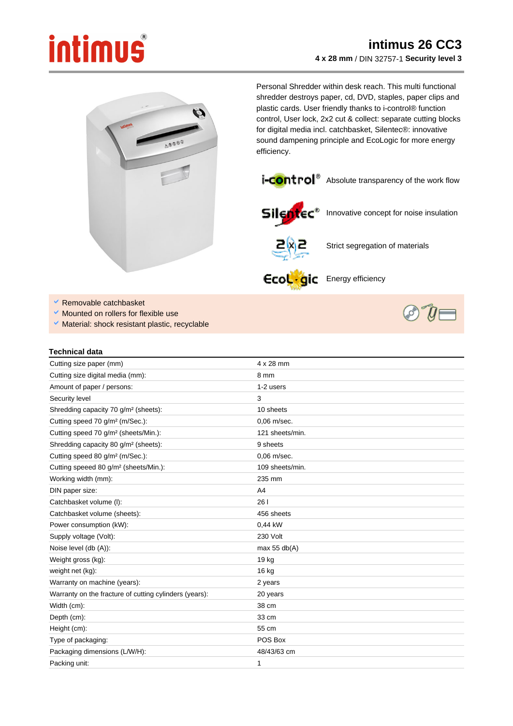## intimus



Personal Shredder within desk reach. This multi functional shredder destroys paper, cd, DVD, staples, paper clips and plastic cards. User friendly thanks to i-control® function control, User lock, 2x2 cut & collect: separate cutting blocks for digital media incl. catchbasket, Silentec®: innovative sound dampening principle and EcoLogic for more energy efficiency.



*i*-control<sup>®</sup> Absolute transparency of the work flow



Silentec<sup>\*</sup> Innovative concept for noise insulation



Strict segregation of materials

Ecoligic Energy efficiency

- × Removable catchbasket
- Mounted on rollers for flexible use
- $\vee$  Material: shock resistant plastic, recyclable

| Technical data |  |
|----------------|--|

| Cutting size paper (mm)                                | $4 \times 28$ mm |
|--------------------------------------------------------|------------------|
| Cutting size digital media (mm):                       | 8 mm             |
| Amount of paper / persons:                             | 1-2 users        |
| Security level                                         | 3                |
| Shredding capacity 70 g/m <sup>2</sup> (sheets):       | 10 sheets        |
| Cutting speed 70 g/m <sup>2</sup> (m/Sec.):            | 0,06 m/sec.      |
| Cutting speed 70 g/m <sup>2</sup> (sheets/Min.):       | 121 sheets/min.  |
| Shredding capacity 80 g/m <sup>2</sup> (sheets):       | 9 sheets         |
| Cutting speed 80 g/m <sup>2</sup> (m/Sec.):            | $0.06$ m/sec.    |
| Cutting speeed 80 g/m <sup>2</sup> (sheets/Min.):      | 109 sheets/min.  |
| Working width (mm):                                    | 235 mm           |
| DIN paper size:                                        | A <sub>4</sub>   |
| Catchbasket volume (I):                                | 26 I             |
| Catchbasket volume (sheets):                           | 456 sheets       |
| Power consumption (kW):                                | 0,44 kW          |
| Supply voltage (Volt):                                 | 230 Volt         |
| Noise level (db (A)):                                  | max $55$ db(A)   |
| Weight gross (kg):                                     | 19 kg            |
| weight net (kg):                                       | 16 kg            |
| Warranty on machine (years):                           | 2 years          |
| Warranty on the fracture of cutting cylinders (years): | 20 years         |
| Width (cm):                                            | 38 cm            |
| Depth (cm):                                            | 33 cm            |
| Height (cm):                                           | 55 cm            |
| Type of packaging:                                     | POS Box          |
| Packaging dimensions (L/W/H):                          | 48/43/63 cm      |
| Packing unit:                                          | 1                |